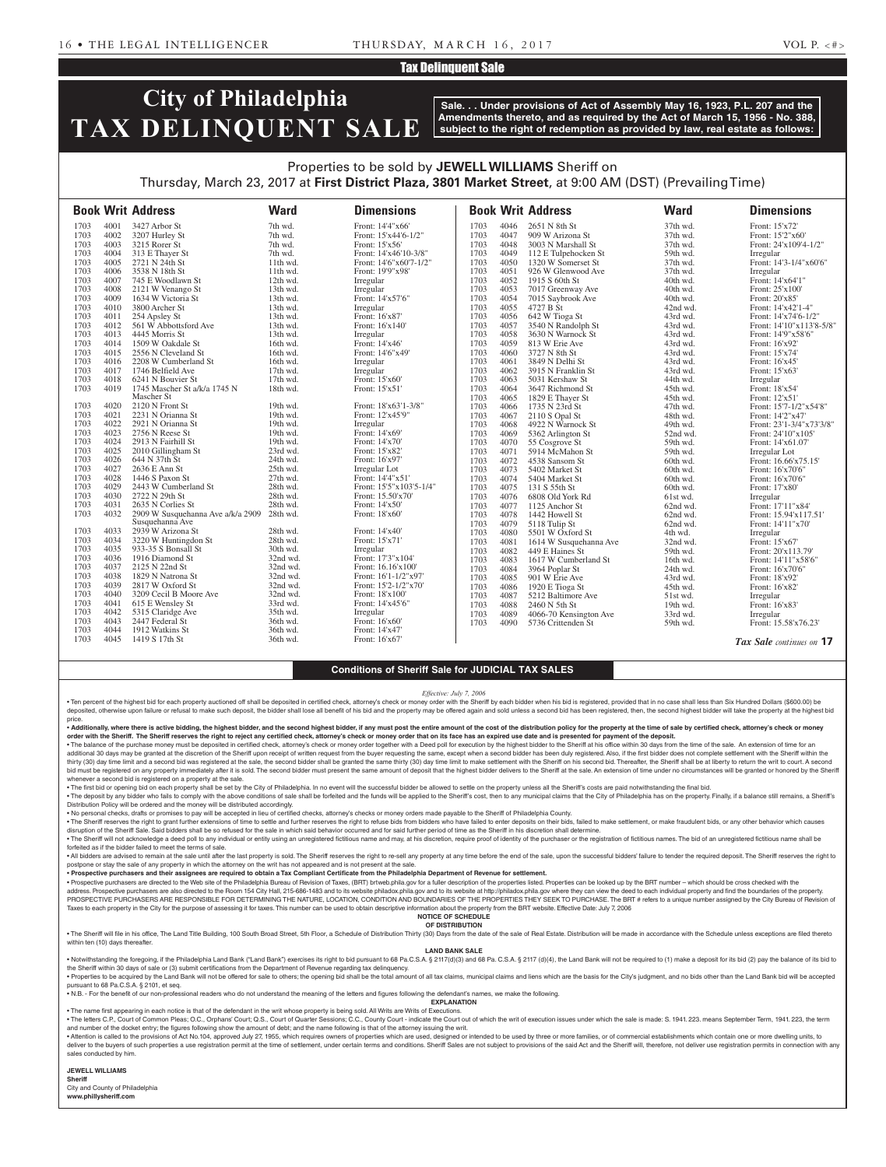## Tax Delinquent Sale

# **City of Philadelphia TAX DELINQUENT SALE**

**Sale. . . Under provisions of Act of Assembly May 16, 1923, P.L. 207 and the Amendments thereto, and as required by the Act of March 15, 1956 - No. 388, subject to the right of redemption as provided by law, real estate as follows:**

## Properties to be sold by **JEWELL WILLIAMS** Sheriff on Thursday, March 23, 2017 at **First District Plaza, 3801 Market Street**, at 9:00 AM (DST) (Prevailing Time)

|      |      | <b>Book Writ Address</b>             | <b>Ward</b> | <b>Dimensions</b>       |              |              | <b>Book Writ Address</b>            | <b>Ward</b>          | <b>Dimensions</b>                       |
|------|------|--------------------------------------|-------------|-------------------------|--------------|--------------|-------------------------------------|----------------------|-----------------------------------------|
| 1703 | 4001 | 3427 Arbor St                        | 7th wd.     | Front: 14'4"x66'        | 1703         | 4046         | 2651 N 8th St                       | 37th wd.             | Front: 15'x72'                          |
| 1703 | 4002 | 3207 Hurley St                       | 7th wd.     | Front: 15'x44'6-1/2"    | 1703         | 4047         | 909 W Arizona St                    | 37th wd.             | Front: 15'2"x60"                        |
| 1703 | 4003 | 3215 Rorer St                        | 7th wd.     | Front: 15'x56'          | 1703         | 4048         | 3003 N Marshall St                  | 37th wd.             | Front: 24'x109'4-1/2"                   |
| 1703 | 4004 | 313 E Thayer St                      | 7th wd.     | Front: 14'x46'10-3/8"   | 1703         | 4049         | 112 E Tulpehocken St                | 59th wd.             | Irregular                               |
| 1703 | 4005 | 2721 N 24th St                       | 11th wd.    | Front: 14'6"x60'7-1/2"  | 1703         | 4050         | 1320 W Somerset St                  | 37th wd.             | Front: 14'3-1/4"x60'6"                  |
| 1703 | 4006 | 3538 N 18th St                       | 11th wd.    | Front: 19'9"x98'        | 1703         | 4051         | 926 W Glenwood Ave                  | 37th wd.             | Irregular                               |
| 1703 | 4007 | 745 E Woodlawn St                    | 12th wd.    | Irregular               | 1703         | 4052         | 1915 S 60th St                      | 40th wd.             | Front: 14'x64'1"                        |
| 1703 | 4008 | 2121 W Venango St                    | 13th wd.    | Irregular               | 1703         | 4053         | 7017 Greenway Ave                   | 40th wd.             | Front: 25'x100'                         |
| 1703 | 4009 | 1634 W Victoria St                   | 13th wd.    | Front: 14'x57'6"        | 1703         | 4054         | 7015 Saybrook Ave                   | 40th wd.             | Front: 20'x85'                          |
| 1703 | 4010 | 3800 Archer St                       | 13th wd.    | Irregular               | 1703         | 4055         | 4727 B St                           | 42nd wd.             | Front: 14'x42'1-4"                      |
| 1703 | 4011 | 254 Apsley St                        | 13th wd.    | Front: 16'x87'          | 1703         | 4056         | 642 W Tioga St                      | 43rd wd.             | Front: 14'x74'6-1/2"                    |
| 1703 | 4012 | 561 W Abbottsford Ave                | 13th wd.    | Front: 16'x140'         | 1703         | 4057         | 3540 N Randolph St                  | 43rd wd.             | Front: 14'10"x113'8-5/8"                |
| 1703 | 4013 | 4445 Morris St                       | 13th wd.    | Irregular               | 1703         | 4058         | 3630 N Warnock St                   | 43rd wd.             | Front: 14'9"x58'6"                      |
| 1703 | 4014 | 1509 W Oakdale St                    | 16th wd.    | Front: 14'x46'          | 1703         | 4059         | 813 W Erie Ave                      | 43rd wd.             | Front: 16'x92'                          |
| 1703 | 4015 | 2556 N Cleveland St                  | 16th wd.    | Front: 14'6"x49'        | 1703         | 4060         | 3727 N 8th St                       | 43rd wd.             | Front: 15'x74'                          |
| 1703 | 4016 | 2208 W Cumberland St                 | 16th wd.    | Irregular               | 1703         | 4061         | 3849 N Delhi St                     | 43rd wd.             | Front: 16'x45'                          |
| 1703 | 4017 | 1746 Belfield Ave                    | 17th wd.    | Irregular               | 1703         | 4062         | 3915 N Franklin St                  | 43rd wd.             | Front: 15'x63'                          |
| 1703 | 4018 | 6241 N Bouvier St                    | 17th wd.    | Front: 15'x60'          | 1703         | 4063         | 5031 Kershaw St                     | 44th wd.             | Irregular                               |
| 1703 | 4019 | 1745 Mascher St a/k/a 1745 N         | 18th wd.    | Front: 15'x51'          | 1703         | 4064         | 3647 Richmond St                    | 45th wd.             | Front: 18'x54'                          |
| 1703 | 4020 | Mascher St                           | 19th wd.    | Front: 18'x63'1-3/8"    | 1703         | 4065         | 1829 E Thayer St                    | 45th wd.             | Front: 12'x51'                          |
| 1703 | 4021 | 2120 N Front St<br>2231 N Orianna St | 19th wd.    | Front: 12'x45'9"        | 1703<br>1703 | 4066         | 1735 N 23rd St                      | 47th wd.             | Front: 15'7-1/2"x54'8"                  |
| 1703 | 4022 | 2921 N Orianna St                    | 19th wd.    | Irregular               |              | 4067         | 2110 S Opal St                      | 48th wd.             | Front: 14'2"x47'                        |
| 1703 | 4023 | 2756 N Reese St                      | 19th wd.    | Front: 14'x69'          | 1703<br>1703 | 4068<br>4069 | 4922 N Warnock St                   | 49th wd.<br>52nd wd. | Front: 23'1-3/4"x73'3/8"                |
| 1703 | 4024 | 2913 N Fairhill St                   | 19th wd.    | Front: 14'x70'          | 1703         | 4070         | 5362 Arlington St<br>55 Cosgrove St | 59th wd.             | Front: 24'10"x105"<br>Front: 14'x61.07' |
| 1703 | 4025 | 2010 Gillingham St                   | 23rd wd.    | Front: 15'x82'          | 1703         | 4071         | 5914 McMahon St                     | 59th wd.             | Irregular Lot                           |
| 1703 | 4026 | 644 N 37th St                        | 24th wd.    | Front: 16'x97'          | 1703         | 4072         | 4538 Sansom St                      | 60th wd.             | Front: 16.66'x75.15'                    |
| 1703 | 4027 | 2636 E Ann St                        | 25th wd.    | Irregular Lot           | 1703         | 4073         | 5402 Market St                      | 60th wd.             | Front: 16'x70'6"                        |
| 1703 | 4028 | 1446 S Paxon St                      | 27th wd.    | Front: 14'4"x51'        | 1703         | 4074         | 5404 Market St                      | 60th wd.             | Front: 16'x70'6"                        |
| 1703 | 4029 | 2443 W Cumberland St                 | 28th wd.    | Front: 15'5"x103'5-1/4" | 1703         | 4075         | 131 S 55th St                       | 60th wd.             | Front: 17'x80'                          |
| 1703 | 4030 | 2722 N 29th St                       | 28th wd.    | Front: 15.50'x70'       | 1703         | 4076         | 6808 Old York Rd                    | 61st wd.             | Irregular                               |
| 1703 | 4031 | 2635 N Corlies St                    | 28th wd.    | Front: 14'x50'          | 1703         | 4077         | 1125 Anchor St                      | 62nd wd.             | Front: 17'11"x84'                       |
| 1703 | 4032 | 2909 W Susquehanna Ave a/k/a 2909    | 28th wd.    | Front: 18'x60'          | 1703         | 4078         | 1442 Howell St                      | 62nd wd.             | Front: 15.94'x117.51'                   |
|      |      | Susquehanna Ave                      |             |                         | 1703         | 4079         | 5118 Tulip St                       | 62nd wd.             | Front: 14'11"x70"                       |
| 1703 | 4033 | 2939 W Arizona St                    | 28th wd.    | Front: 14'x40'          | 1703         | 4080         | 5501 W Oxford St                    | 4th wd.              | Irregular                               |
| 1703 | 4034 | 3220 W Huntingdon St                 | 28th wd.    | Front: 15'x71'          | 1703         | 4081         | 1614 W Susquehanna Ave              | 32nd wd.             | Front: 15'x67'                          |
| 1703 | 4035 | 933-35 S Bonsall St                  | 30th wd.    | Irregular               | 1703         | 4082         | 449 E Haines St                     | 59th wd.             | Front: 20'x113.79'                      |
| 1703 | 4036 | 1916 Diamond St                      | 32nd wd.    | Front: 17'3"x104'       | 1703         | 4083         | 1617 W Cumberland St                | 16th wd.             | Front: 14'11"x58'6"                     |
| 1703 | 4037 | 2125 N 22nd St                       | 32nd wd.    | Front: 16.16'x100'      | 1703         | 4084         | 3964 Poplar St                      | 24th wd.             | Front: 16'x70'6"                        |
| 1703 | 4038 | 1829 N Natrona St                    | 32nd wd.    | Front: 16'1-1/2"x97'    | 1703         | 4085         | 901 W Erie Ave                      | 43rd wd.             | Front: 18'x92'                          |
| 1703 | 4039 | 2817 W Oxford St                     | 32nd wd.    | Front: 15'2-1/2"x70"    | 1703         | 4086         | 1920 E Tioga St                     | 45th wd.             | Front: 16'x82'                          |
| 1703 | 4040 | 3209 Cecil B Moore Ave               | 32nd wd.    | Front: 18'x100'         | 1703         | 4087         | 5212 Baltimore Ave                  | 51st wd.             | Irregular                               |
| 1703 | 4041 | 615 E Wensley St                     | 33rd wd.    | Front: 14'x45'6"        | 1703         | 4088         | 2460 N 5th St                       | 19th wd.             | Front: 16'x83'                          |
| 1703 | 4042 | 5315 Claridge Ave                    | 35th wd.    | Irregular               | 1703         | 4089         | 4066-70 Kensington Ave              | 33rd wd.             | Irregular                               |
| 1703 | 4043 | 2447 Federal St                      | 36th wd.    | Front: 16'x60'          | 1703         | 4090         | 5736 Crittenden St                  | 59th wd.             | Front: 15.58'x76.23'                    |
| 1703 | 4044 | 1912 Watkins St                      | 36th wd.    | Front: 14'x47'          |              |              |                                     |                      |                                         |
| 1703 | 4045 | 1419 S 17th St                       | 36th wd.    | Front: 16'x67           |              |              |                                     |                      | Tax Sale continues on 17                |

## **Conditions of Sheriff Sale for JUDICIAL TAX SALES**

#### *Effective: July 7, 2006*

. Ten percent of the highest bid for each property auctioned off shall be deposited in certified check, attorney's check or money order with the Sheriff by each bidder when his bid is registered, provided that in no case s deposited, otherwise upon failure or refusal to make such deposit, the bidder shall lose all benefit of his bid and the property may be offered again and sold unless a second bid has been registered, then, the second highe price.

. Additionally, where there is active bidding, the highest bidder, and the second highest bidder, if any must post the entire amount of the cost of the distribution policy for the property at the time of sale by certified **order with the Sheriff. The Sheriff reserves the right to reject any certified check, attorney's check or money order that on its face has an expired use date and is presented for payment of the deposit.**

. The balance of the purchase money must be deposited in certified check, attorney's check or money order together with a Deed poll for execution by the highest bidder to the Sheriff at his office within 30 days from the t additional 30 days may be granted at the discretion of the Sheriff upon receipt of written request from the buyer requesting the same, except when a second bidder has been duly registered. Also, if the first bidder does no bid must be registered on any property immediately after it is sold. The second bidder must present the same amount of deposit that the highest bidder delivers to the Sheriff at the sale. An extension of time under no circ whenever a second bid is registered on a property at the sale.<br>• The first bid or opening bid on each property shall be set by the City of Philadelphia. In no event will the successful bidder be allowed to settle on the p

. The deposit by any bidder who fails to comply with the above conditions of sale shall be forfeited and the funds will be applied to the Sheriff's cost, then to any municipal claims that the City of Philadelphia has on th Distribution Policy will be ordered and the money will be distributed accordingly.

• No personal checks, drafts or promises to pay will be accepted in lieu of certified checks, attorney's checks or money orders made payable to the Sheriff of Philadelphia County.

. The Sheriff reserves the right to grant further extensions of time to settle and further reserves the right to refuse bids from bidders who have failed to enter deposits on their bids, failed to make settlement, or make disruption of the Sheriff Sale. Said bidders shall be so refused for the sale in which said behavior occurred and for said further period of time as the Sheriff in his discretion shall determine.

The Sheriff will not acknowledge a deed poll to any individual or entity using an unregistered fictitious name and may, at his discretion, require proof of identity of the purchaser or the registration of fictitious names. forfeited as if the bidder failed to meet the terms of sale.

. All bidders are advised to remain at the sale until after the last property is sold. The Sheriff reserves the right to re-sell any property at any time before the end of the sale, upon the successful bidders' failure to postpone or stay the sale of any property in which the attorney on the writ has not appeared and is not present at the sale.

• **Prospective purchasers and their assignees are required to obtain a Tax Compliant Certificate from the Philadelphia Department of Revenue for settlement.** . Prospective purchasers are directed to the Web site of the Philadelphia Bureau of Revision of Taxes, (BRT) brtweb phila, gov for a fuller description of the properties listed. Properties can be looked up by the BRT numbe

address. Prospective purchasers are also directed to the Room 154 City Hall, 215-686-1483 and to its website philadox.phila.gov and to its website at http://philadox.phila.gov where they can view the deed to each individua PROSPECTIVE PURCHASERS ARE RESPONSIBLE FOR DETERMINING THE NATURE, LOCATION, CONDITION AND BOUNDARIES OF THE PROPERTIES THEY SEEK TO PURCHASE. The BRT # refers to a unique number assigned by the City Bureau of Revision of Taxes to each property in the City for the purpose of assessing it for taxes. This number can be used to obtain descriptive information about the property from the BRT website. Effective Date: July 7, 2006

#### **NOTICE OF SCHEDULE**

**OF DISTRIBUTION** . The Sheriff will file in his office, The Land Title Building, 100 South Broad Street, 5th Floor, a Schedule of Distribution Thirty (30) Days from the date of the sale of Real Estate. Distribution will be made in accordan within ten (10) days thereafter.

### **LAND BANK SALE**

. Notwithstanding the foregoing, if the Philadelphia Land Bank ("Land Bank") exercises its right to bid pursuant to 68 Pa.C.S.A. § 2117(d)(3) and 68 Pa.C.S.A. § 2117 (d)(4), the Land Bank will not be required to (1) make a the Sheriff within 30 days of sale or (3) submit certifications from the Department of Revenue regarding tax delinquend

. Properties to be acquired by the Land Bank will not be offered for sale to others; the opening bid shall be the total amount of all tax claims, municipal claims and liens which are the basis for the City's judgment, and pursuant to 68 Pa.C.S.A. § 2101, et seq.

• N.B. - For the benefit of our non-professional readers who do not understand the meaning of the letters and figures following the defendant's names, we make the following.

**EXPLANATION**  • The name first appearing in each notice is that of the defendant in the writ whose property is being sold. All Writs are Writs of Executions.

. The letters C.P., Court of Common Pleas: O.C., Orphans' Court: Q.S., Court of Quarter Sessions: C.C., County Court - indicate the Court out of which the writ of execution issues under which the sale is made: S. 1941, 223 and number of the docket entry; the figures following show the amount of debt; and the name following is that of the attorney issuing the writ.

. Attention is called to the provisions of Act No.104, approved July 27, 1955, which requires owners of properties which are used, designed or intended to be used by three or more families, or of commercial establishments deliver to the buyers of such properties a use registration permit at the time of settlement, under certain terms and conditions. Sheriff Sales are not subject to provisions of the said Act and the Sheriff will, therefore, sales conducted by him.

**JEWELL WILLIAMS Sheriff** 

City and County of Philadelphia **www.phillysheriff.com**